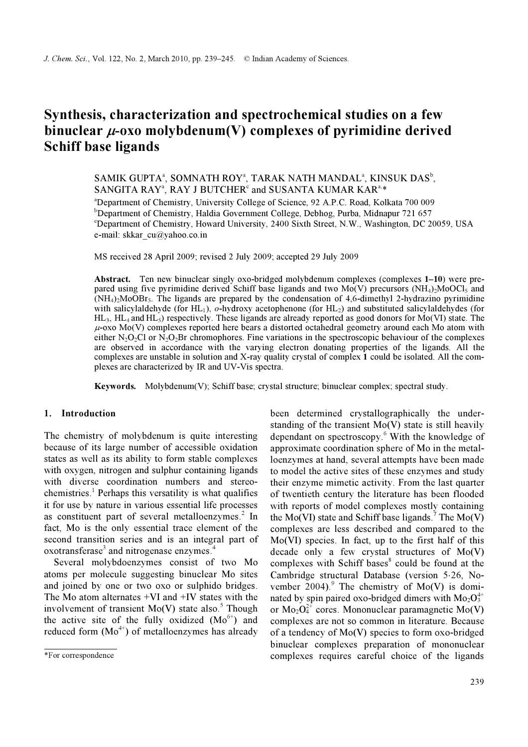# Synthesis, characterization and spectrochemical studies on a few binuclear  $\mu$ -oxo molybdenum(V) complexes of pyrimidine derived Schiff base ligands

SAMIK GUPTA<sup>a</sup>, SOMNATH ROY<sup>a</sup>, TARAK NATH MANDAL<sup>a</sup>, KINSUK DAS<sup>b</sup>, SANGITA RAY<sup>a</sup>, RAY J BUTCHER<sup>c</sup> and SUSANTA KUMAR KAR<sup>a,\*</sup>

a Department of Chemistry, University College of Science, 92 A.P.C. Road, Kolkata 700 009 b Department of Chemistry, Haldia Government College, Debhog, Purba, Midnapur 721 657 c Department of Chemistry, Howard University, 2400 Sixth Street, N.W., Washington, DC 20059, USA e-mail: skkar\_cu@yahoo.co.in

MS received 28 April 2009; revised 2 July 2009; accepted 29 July 2009

Abstract. Ten new binuclear singly oxo-bridged molybdenum complexes (complexes 1–10) were prepared using five pyrimidine derived Schiff base ligands and two  $Mo(V)$  precursors  $(NH_4)$ -MoOCl<sub>5</sub> and  $(NH_4)$ <sup>2</sup>MoOBr<sub>5</sub>. The ligands are prepared by the condensation of 4,6-dimethyl 2-hydrazino pyrimidine with salicylaldehyde (for HL<sub>1</sub>), o-hydroxy acetophenone (for HL<sub>2</sub>) and substituted salicylaldehydes (for  $HL_3$ ,  $HL_4$  and  $HL_5$ ) respectively. These ligands are already reported as good donors for Mo(VI) state. The  $\mu$ -oxo Mo(V) complexes reported here bears a distorted octahedral geometry around each Mo atom with either  $N_2O_2Cl$  or  $N_2O_2Br$  chromophores. Fine variations in the spectroscopic behaviour of the complexes are observed in accordance with the varying electron donating properties of the ligands. All the complexes are unstable in solution and X-ray quality crystal of complex 1 could be isolated. All the complexes are characterized by IR and UV-Vis spectra.

Keywords. Molybdenum(V); Schiff base; crystal structure; binuclear complex; spectral study.

## 1. Introduction

The chemistry of molybdenum is quite interesting because of its large number of accessible oxidation states as well as its ability to form stable complexes with oxygen, nitrogen and sulphur containing ligands with diverse coordination numbers and stereochemistries.<sup>1</sup> Perhaps this versatility is what qualifies it for use by nature in various essential life processes as constituent part of several metalloenzymes. $2$  In fact, Mo is the only essential trace element of the second transition series and is an integral part of oxotransferase<sup>3</sup> and nitrogenase enzymes.<sup>4</sup>

 Several molybdoenzymes consist of two Mo atoms per molecule suggesting binuclear Mo sites and joined by one or two oxo or sulphido bridges. The Mo atom alternates +VI and +IV states with the involvement of transient  $Mo(V)$  state also.<sup>5</sup> Though the active site of the fully oxidized  $(Mo<sup>6+</sup>)$  and reduced form  $(Mo<sup>4+</sup>)$  of metalloenzymes has already

been determined crystallographically the understanding of the transient  $Mo(V)$  state is still heavily dependant on spectroscopy.<sup>6</sup> With the knowledge of approximate coordination sphere of Mo in the metalloenzymes at hand, several attempts have been made to model the active sites of these enzymes and study their enzyme mimetic activity. From the last quarter of twentieth century the literature has been flooded with reports of model complexes mostly containing the Mo(VI) state and Schiff base ligands.<sup>7</sup> The Mo(V) complexes are less described and compared to the Mo(VI) species. In fact, up to the first half of this decade only a few crystal structures of Mo(V) complexes with Schiff bases<sup>8</sup> could be found at the Cambridge structural Database (version 5⋅26, November  $2004$ .<sup>9</sup> The chemistry of Mo(V) is dominated by spin paired oxo-bridged dimers with  $Mo<sub>2</sub>O<sub>3</sub><sup>4+</sup>$ or  $Mo_{2}O_{4}^{2+}$  cores. Mononuclear paramagnetic Mo(V) complexes are not so common in literature. Because of a tendency of Mo(V) species to form oxo-bridged binuclear complexes preparation of mononuclear complexes requires careful choice of the ligands

<sup>\*</sup>For correspondence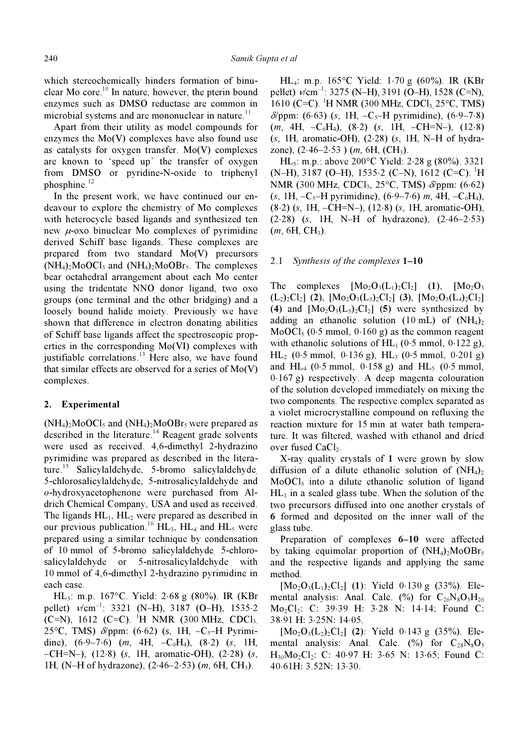which stereochemically hinders formation of binuclear Mo core.<sup>10</sup> In nature, however, the pterin bound enzymes such as DMSO reductase are common in microbial systems and are mononuclear in nature.<sup>11</sup>

 Apart from their utility as model compounds for enzymes the Mo(V) complexes have also found use as catalysts for oxygen transfer. Mo(V) complexes are known to 'speed up' the transfer of oxygen from DMSO or pyridine-N-oxide to triphenyl phosphine. $^{12}$ 

 In the present work, we have continued our endeavour to explore the chemistry of Mo complexes with heterocycle based ligands and synthesized ten new  $\mu$ -oxo binuclear Mo complexes of pyrimidine derived Schiff base ligands. These complexes are prepared from two standard Mo(V) precursors  $(NH_4)_2MoOCl_5$  and  $(NH_4)_2MoOBr_5$ . The complexes bear octahedral arrangement about each Mo center using the tridentate NNO donor ligand, two oxo groups (one terminal and the other bridging) and a loosely bound halide moiety. Previously we have shown that difference in electron donating abilities of Schiff base ligands affect the spectroscopic properties in the corresponding Mo(VI) complexes with justifiable correlations.<sup>13</sup> Here also, we have found that similar effects are observed for a series of Mo(V) complexes.

## 2. Experimental

 $(NH_4)$ <sub>2</sub>MoOCl<sub>5</sub> and  $(NH_4)$ <sub>2</sub>MoOBr<sub>5</sub> were prepared as described in the literature.<sup>14</sup> Reagent grade solvents were used as received. 4,6-dimethyl 2-hydrazino pyrimidine was prepared as described in the literature.<sup>15</sup> Salicylaldehyde, 5-bromo salicylaldehyde, 5-chlorosalicylaldehyde, 5-nitrosalicylaldehyde and o-hydroxyacetophenone were purchased from Aldrich Chemical Company, USA and used as received. The ligands  $HL_1$ ,  $HL_2$  were prepared as described in our previous publication.<sup>16</sup> HL<sub>3</sub>, HL<sub>4</sub> and HL<sub>5</sub> were prepared using a similar technique by condensation of 10 mmol of 5-bromo salicylaldehyde, 5-chlorosalicylaldehyde or 5-nitrosalicylaldehyde with 10 mmol of 4,6-dimethyl 2-hydrazino pyrimidine in each case.

 HL3: m.p. 167°C. Yield: 2⋅68 g (80%). IR (KBr pellet)  $v/cm^{-1}$ : 3321 (N–H), 3187 (O–H), 1535⋅2 (C=N), 1612 (C=C). <sup>1</sup>H NMR (300 MHz, CDCl<sub>3</sub> 25°C, TMS)  $\delta$ /ppm: (6⋅62) (s, 1H, -C<sub>5</sub>-H Pyrimidine),  $(6.9-7.6)$  (m, 4H,  $-C_6H_4$ ),  $(8.2)$  (s, 1H, –CH=N–), (12⋅8) (s, 1H, aromatic-OH), (2⋅28) (s, 1H, (N–H of hydrazone), (2⋅46–2⋅53) (m, 6H, CH3).

 HL4: m.p. 165°C Yield: 1⋅70 g (60%). IR (KBr pellet)  $v/cm^{-1}$ : 3275 (N–H), 3191 (O–H), 1528 (C=N), 1610 (C=C). <sup>1</sup>H NMR (300 MHz, CDCl<sub>3</sub>, 25 $\degree$ C, TMS)  $\delta$ /ppm: (6⋅63) (s, 1H, -C<sub>5</sub>–H pyrimidine), (6⋅9–7⋅8)  $(m, 4H, -C_6H_4)$ ,  $(8.2)$   $(s, 1H, -CH=N-)$ ,  $(12.8)$ (s, 1H, aromatic-OH), (2⋅28) (s, 1H, N–H of hydrazone),  $(2.46-2.53)$  (*m*, 6H, (CH<sub>3</sub>).

 HL5: m.p.: above 200°C Yield: 2⋅28 g (80%). 3321  $(N-H)$ , 3187 (O–H), 1535⋅2 (C–N), 1612 (C=C).<sup>1</sup>H NMR (300 MHz, CDCl<sub>3</sub>, 25°C, TMS) δ/ppm: (6⋅62) (s, 1H, –C<sub>5</sub>–H pyrimidine), (6⋅9–7⋅6) m, 4H, –C<sub>6</sub>H<sub>4</sub>), (8⋅2) (s, 1H, –CH=N–), (12⋅8) (s, 1H, aromatic-OH), (2⋅28) (s, 1H, N–H of hydrazone), (2⋅46–2⋅53)  $(m, 6H, CH<sub>3</sub>)$ .

#### 2.1 Synthesis of the complexes 1–10

The complexes  $[Mo_2O_3(L_1)_2Cl_2]$  (1),  $[Mo_2O_3]$  $(L_2)_2Cl_2$ ] (2),  $[M_0_2O_3(L_3)_2Cl_2]$  (3),  $[M_0_2O_3(L_4)_2Cl_2]$ (4) and  $[Mo_2O_3(L_5)_2Cl_2]$  (5) were synthesized by adding an ethanolic solution (10 mL) of  $(NH_4)_2$ MoOCl<sub>5</sub> (0⋅5 mmol, 0⋅160 g) as the common reagent with ethanolic solutions of  $HL_1$  (0⋅5 mmol, 0⋅122 g), HL<sub>2</sub> (0⋅5 mmol, 0⋅136 g), HL<sub>3</sub> (0⋅5 mmol, 0⋅201 g) and HL<sub>4</sub> (0⋅5 mmol, 0⋅158 g) and HL<sub>5</sub> (0⋅5 mmol, 0⋅167 g) respectively. A deep magenta colouration of the solution developed immediately on mixing the two components. The respective complex separated as a violet microcrystalline compound on refluxing the reaction mixture for 15 min at water bath temperature. It was filtered, washed with ethanol and dried over fused CaCl<sub>2</sub>.

 X-ray quality crystals of 1 were grown by slow diffusion of a dilute ethanolic solution of  $(NH_4)_2$  $MoOCl<sub>5</sub>$  into a dilute ethanolic solution of ligand  $HL_1$  in a sealed glass tube. When the solution of the two precursors diffused into one another crystals of 6 formed and deposited on the inner wall of the glass tube.

 Preparation of complexes 6–10 were affected by taking equimolar proportion of  $(NH<sub>4</sub>)<sub>2</sub>MoOBr<sub>5</sub>$ and the respective ligands and applying the same method.

 $[Mo_2O_3(L_1)_2Cl_2]$  (1): Yield 0⋅130 g (33%). Elemental analysis: Anal. Calc. (%) for  $C_{26}N_8O_5H_{26}$ Mo2Cl2: C: 39⋅39 H: 3⋅28 N: 14⋅14; Found C: 38⋅91 H: 3⋅25N: 14⋅05.

 $[M_0_2O_3(L_2)_2Cl_2]$  (2): Yield 0⋅143 g (35%). Elemental analysis: Anal. Calc.  $(\% )$  for  $C_{28}N_8O_5$ H30Mo2Cl2: C: 40⋅97 H: 3⋅65 N: 13⋅65; Found C: 40⋅61H: 3.52N: 13⋅30.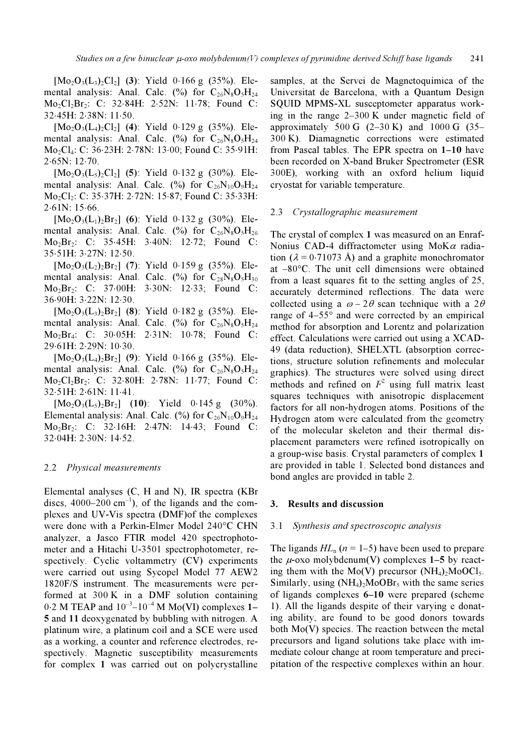$[Mo_2O_3(L_3)_2Cl_2]$  (3): Yield 0⋅166 g (35%). Elemental analysis: Anal. Calc.  $\binom{0}{0}$  for  $C_{26}N_8O_5H_{24}$ Mo<sub>2</sub>Cl<sub>2</sub>Br<sub>2</sub>: C: 32⋅84H: 2⋅52N: 11⋅78; Found C: 32⋅45H: 2⋅38N: 11⋅50.

 $[Mo_2O_3(L_4)_2Cl_2]$  (4): Yield 0⋅129 g (35%). Elemental analysis: Anal. Calc.  $\binom{0}{0}$  for  $C_{26}N_8O_5H_{24}$ Mo2Cl4: C: 36⋅23H: 2⋅78N: 13⋅00; Found C: 35⋅91H: 2⋅65N: 12⋅70.

 $[Mo_2O_3(L_5)_2Cl_2]$  (5): Yield 0⋅132 g (30%). Elemental analysis: Anal. Calc. (%) for  $C_{26}N_{10}O_9H_{24}$ Mo2Cl2: C: 35⋅37H: 2⋅72N: 15⋅87; Found C: 35⋅33H: 2⋅61N: 15⋅66.

 $[Mo_2O_3(L_1)_2Br_2]$  (6): Yield 0⋅132 g (30%). Elemental analysis: Anal. Calc.  $\frac{(\%)}{6}$  for  $C_{26}N_8O_5H_{26}$ Mo2Br2: C: 35⋅45H: 3⋅40N: 12⋅72; Found C: 35⋅51H: 3⋅27N: 12⋅50.

 $[Mo_2O_3(L_2)_2Br_2]$  (7): Yield 0⋅159 g (35%). Elemental analysis: Anal. Calc.  $\binom{0}{0}$  for  $C_{28}N_8O_5H_{30}$ Mo2Br2: C: 37⋅00H: 3⋅30N: 12⋅33; Found C: 36⋅90H: 3⋅22N: 12⋅30.

 $[Mo_2O_3(L_3)_2Br_2]$  (8): Yield 0⋅182 g (35%). Elemental analysis: Anal. Calc. (%) for  $C_{26}N_8O_5H_{24}$ Mo2Br4: C: 30⋅05H: 2⋅31N: 10⋅78; Found C: 29⋅61H: 2⋅29N: 10⋅30.

 $[Mo_2O_3(L_4)_2Br_2]$  (9): Yield 0⋅166 g (35%). Elemental analysis: Anal. Calc.  $\binom{0}{0}$  for  $C_{26}N_8O_5H_{24}$ Mo2Cl2Br2: C: 32⋅80H: 2⋅78N: 11⋅77; Found C: 32⋅51H: 2⋅61N: 11⋅41.

 $[Mo_2O_3(L_5)_2Br_2]$  (10): Yield 0⋅145 g (30%). Elemental analysis: Anal. Calc.  $(\%)$  for  $C_{26}N_{10}O_9H_{24}$ Mo2Br2: C: 32⋅16H: 2⋅47N: 14⋅43; Found C: 32⋅04H: 2⋅30N: 14⋅52.

#### 2.2 Physical measurements

Elemental analyses (C, H and N), IR spectra (KBr discs,  $4000-200$  cm<sup>-1</sup>), of the ligands and the complexes and UV-Vis spectra (DMF)of the complexes were done with a Perkin-Elmer Model 240°C CHN analyzer, a Jasco FTIR model 420 spectrophotometer and a Hitachi U-3501 spectrophotometer, respectively. Cyclic voltammetry (CV) experiments were carried out using Sycopel Model 77 AEW2 1820F/S instrument. The measurements were performed at 300 K in a DMF solution containing  $0.2$  M TEAP and  $10^{-3}$ – $10^{-4}$  M Mo(VI) complexes 1– 5 and 11 deoxygenated by bubbling with nitrogen. A platinum wire, a platinum coil and a SCE were used as a working, a counter and reference electrodes, respectively. Magnetic susceptibility measurements for complex 1 was carried out on polycrystalline samples, at the Servei de Magnetoquímica of the Universitat de Barcelona, with a Quantum Design SQUID MPMS-XL susceptometer apparatus working in the range 2–300 K under magnetic field of approximately 500 G  $(2-30 \text{ K})$  and 1000 G  $(35-$ 300 K). Diamagnetic corrections were estimated from Pascal tables. The EPR spectra on 1–10 have been recorded on X-band Bruker Spectrometer (ESR 300E), working with an oxford helium liquid cryostat for variable temperature.

#### 2.3 Crystallographic measurement

The crystal of complex 1 was measured on an Enraf-Nonius CAD-4 diffractometer using MoK $\alpha$  radiation ( $\lambda = 0.71073$  Å) and a graphite monochromator at –80°C. The unit cell dimensions were obtained from a least squares fit to the setting angles of 25, accurately determined reflections. The data were collected using a  $\omega - 2\theta$  scan technique with a  $2\theta$ range of 4–55° and were corrected by an empirical method for absorption and Lorentz and polarization effect. Calculations were carried out using a XCAD-49 (data reduction), SHELXTL (absorption corrections, structure solution refinements and molecular graphics). The structures were solved using direct methods and refined on  $F^2$  using full matrix least squares techniques with anisotropic displacement factors for all non-hydrogen atoms. Positions of the Hydrogen atom were calculated from the geometry of the molecular skeleton and their thermal displacement parameters were refined isotropically on a group-wise basis. Crystal parameters of complex 1 are provided in table 1. Selected bond distances and bond angles are provided in table 2.

## 3. Results and discussion

#### 3.1 Synthesis and spectroscopic analysis

The ligands  $HL_n$  ( $n = 1-5$ ) have been used to prepare the  $\mu$ -oxo molybdenum(V) complexes 1–5 by reacting them with the Mo(V) precursor  $(NH_4)_2M_0OCl_5$ . Similarly, using  $(NH_4)_2MoOR_5$  with the same series of ligands complexes 6–10 were prepared (scheme 1). All the ligands despite of their varying e donating ability, are found to be good donors towards both Mo(V) species. The reaction between the metal precursors and ligand solutions take place with immediate colour change at room temperature and precipitation of the respective complexes within an hour.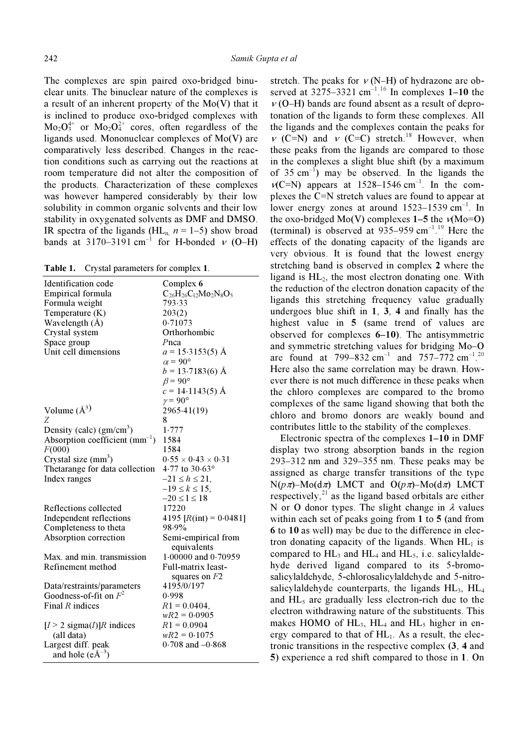The complexes are spin paired oxo-bridged binuclear units. The binuclear nature of the complexes is a result of an inherent property of the Mo(V) that it is inclined to produce oxo-bridged complexes with  $Mo<sub>2</sub>O<sub>3</sub><sup>4+</sup>$  or  $Mo<sub>2</sub>O<sub>4</sub><sup>2+</sup>$  cores, often regardless of the ligands used. Mononuclear complexes of Mo(V) are comparatively less described. Changes in the reaction conditions such as carrying out the reactions at room temperature did not alter the composition of the products. Characterization of these complexes was however hampered considerably by their low solubility in common organic solvents and their low stability in oxygenated solvents as DMF and DMSO. IR spectra of the ligands (HL<sub>n</sub>  $n = 1-5$ ) show broad bands at 3170–3191 cm<sup>-1</sup> for H-bonded  $v$  (O–H)

Table 1. Crystal parameters for complex 1.

| Identification code<br>Empirical formula            | Complex 6<br>$C_{26}H_{26}C_{12}Mo_2N_8O_5$ |  |  |
|-----------------------------------------------------|---------------------------------------------|--|--|
| Formula weight                                      | 793.33                                      |  |  |
| Temperature (K)                                     | 203(2)                                      |  |  |
| Wavelength (Å)                                      | 0.71073                                     |  |  |
| Crystal system                                      | Orthorhombic                                |  |  |
| Space group                                         | Pnca                                        |  |  |
| Unit cell dimensions                                | $a = 15.3153(5)$ Å                          |  |  |
|                                                     | $\alpha$ = 90°                              |  |  |
|                                                     | $b = 13.7183(6)$ Å                          |  |  |
|                                                     | $\beta$ = 90 $^{\circ}$                     |  |  |
|                                                     | $c = 14.1143(5)$ Å                          |  |  |
|                                                     | $\gamma = 90^{\circ}$                       |  |  |
| Volume $(A^3)$                                      | 2965.41(19)                                 |  |  |
| Ζ                                                   | 8                                           |  |  |
| Density (calc) $(gm/cm3)$                           | 1.777                                       |  |  |
| Absorption coefficient $(mm^{-1})$                  | 1584                                        |  |  |
| F(000)                                              | 1584                                        |  |  |
| Crystal size $(mm3)$                                | $0.55 \times 0.43 \times 0.31$              |  |  |
| Thetarange for data collection                      | 4.77 to 30.63°                              |  |  |
| Index ranges                                        | $-21 \le h \le 21$ ,                        |  |  |
|                                                     | $-19 \le k \le 15$ ,                        |  |  |
|                                                     | $-20 \le l \le 18$                          |  |  |
| Reflections collected                               | 17220                                       |  |  |
| Independent reflections                             | 4195 $[R(int) = 0.0481]$                    |  |  |
| Completeness to theta                               | 98.9%                                       |  |  |
| Absorption correction                               | Semi-empirical from                         |  |  |
|                                                     | equivalents                                 |  |  |
| Max. and min. transmission                          | $1.00000$ and $0.70959$                     |  |  |
| Refinement method                                   | Full-matrix least-                          |  |  |
|                                                     | squares on $F2$                             |  |  |
| Data/restraints/parameters                          | 4195/0/197                                  |  |  |
| Goodness-of-fit on $F^2$                            | 0.998                                       |  |  |
| Final $R$ indices                                   | $R1 = 0.0404$ ,                             |  |  |
|                                                     | $wR2 = 0.0905$                              |  |  |
| $[I > 2$ sigma $(I)$ ]R indices                     | $R1 = 0.0904$                               |  |  |
| (all data)                                          | $wR2 = 0.1075$                              |  |  |
| Largest diff. peak<br>and hole $(e\text{\AA}^{-3})$ | $0.708$ and $-0.868$                        |  |  |

stretch. The peaks for  $v$  (N–H) of hydrazone are observed at  $3275-3321$  cm<sup>-1,16</sup> In complexes 1-10 the  $v$  (O–H) bands are found absent as a result of deprotonation of the ligands to form these complexes. All the ligands and the complexes contain the peaks for  $v$  (C=N) and  $v$  (C=C) stretch.<sup>18</sup> However, when these peaks from the ligands are compared to those in the complexes a slight blue shift (by a maximum of  $35 \text{ cm}^{-1}$ ) may be observed. In the ligands the  $v(C=N)$  appears at 1528–1546 cm<sup>-1</sup>. In the complexes the C=N stretch values are found to appear at lower energy zones at around  $1523-1539$  cm<sup>-1</sup>. In the oxo-bridged Mo(V) complexes  $1-5$  the  $v(Mo=0)$ (terminal) is observed at  $935-959$  cm<sup>-1</sup>.<sup>19</sup> Here the effects of the donating capacity of the ligands are very obvious. It is found that the lowest energy stretching band is observed in complex 2 where the ligand is  $HL_2$ , the most electron donating one. With the reduction of the electron donation capacity of the ligands this stretching frequency value gradually undergoes blue shift in 1, 3, 4 and finally has the highest value in 5 (same trend of values are observed for complexes 6–10). The antisymmetric and symmetric stretching values for bridging Mo–O are found at 799–832 cm<sup>-1</sup> and 757–772 cm<sup>-1</sup>.<sup>20</sup> Here also the same correlation may be drawn. However there is not much difference in these peaks when the chloro complexes are compared to the bromo complexes of the same ligand showing that both the chloro and bromo donors are weakly bound and contributes little to the stability of the complexes.

 Electronic spectra of the complexes 1–10 in DMF display two strong absorption bands in the region 293–312 nm and 329–355 nm. These peaks may be assigned as charge transfer transitions of the type  $N(p\pi)$ –Mo(d $\pi$ ) LMCT and  $O(p\pi)$ –Mo(d $\pi$ ) LMCT respectively, $^{21}$  as the ligand based orbitals are either N or O donor types. The slight change in  $\lambda$  values within each set of peaks going from 1 to 5 (and from 6 to 10 as well) may be due to the difference in electron donating capacity of the ligands. When  $HL_1$  is compared to  $HL_3$  and  $HL_4$  and  $HL_5$ , i.e. salicylaldehyde derived ligand compared to its 5-bromosalicylaldehyde, 5-chlorosalicylaldehyde and 5-nitrosalicylaldehyde counterparts, the ligands  $HL_3$ ,  $HL_4$ and  $HL_5$  are gradually less electron-rich due to the electron withdrawing nature of the substituents. This makes HOMO of  $HL_3$ ,  $HL_4$  and  $HL_5$  higher in energy compared to that of  $HL_1$ . As a result, the electronic transitions in the respective complex (3, 4 and 5) experience a red shift compared to those in 1. On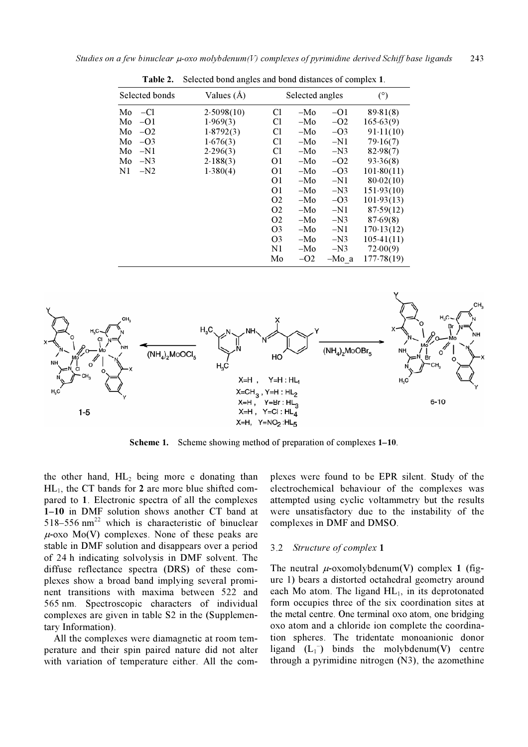| Selected bonds | Values $(A)$ | Selected angles |       |         | (°)        |
|----------------|--------------|-----------------|-------|---------|------------|
| Mo<br>$-CI$    | 2.5098(10)   | C <sub>1</sub>  | $-Mo$ | $-O1$   | 89.81(8)   |
| Mo<br>$-O1$    | 1.969(3)     | C <sub>1</sub>  | $-Mo$ | $-O2$   | 165.63(9)  |
| Mo<br>$-O2$    | 1.8792(3)    | C <sub>1</sub>  | $-Mo$ | $-O3$   | 91.11(10)  |
| $-O3$<br>Mo    | 1.676(3)     | C <sub>1</sub>  | $-Mo$ | $-N1$   | 79.16(7)   |
| $-N1$<br>Mo    | 2.296(3)     | C <sub>1</sub>  | $-Mo$ | $-N3$   | 82.98(7)   |
| Mo<br>$-N3$    | 2.188(3)     | O1              | $-Mo$ | $-O2$   | 93.36(8)   |
| N1<br>$-N2$    | 1.380(4)     | O <sub>1</sub>  | $-Mo$ | $-O3$   | 101.80(11) |
|                |              | 01              | $-Mo$ | $-N1$   | 80.02(10)  |
|                |              | 01              | $-Mo$ | $-N3$   | 151.93(10) |
|                |              | O <sub>2</sub>  | $-Mo$ | $-O3$   | 101.93(13) |
|                |              | O <sub>2</sub>  | $-Mo$ | $-N1$   | 87.59(12)  |
|                |              | O <sub>2</sub>  | $-Mo$ | $-N3$   | 87.69(8)   |
|                |              | O <sub>3</sub>  | $-Mo$ | $-N1$   | 170.13(12) |
|                |              | O <sub>3</sub>  | $-Mo$ | $-N3$   | 105.41(11) |
|                |              | N1              | $-Mo$ | $-N3$   | 72.00(9)   |
|                |              | Mo              | $-O2$ | $-Mo a$ | 177.78(19) |

Table 2. Selected bond angles and bond distances of complex 1.



Scheme 1. Scheme showing method of preparation of complexes  $1-10$ .

the other hand,  $HL_2$  being more e donating than  $HL_1$ , the CT bands for 2 are more blue shifted compared to 1. Electronic spectra of all the complexes 1–10 in DMF solution shows another CT band at 518–556 nm<sup>22</sup> which is characteristic of binuclear  $\mu$ -oxo Mo(V) complexes. None of these peaks are stable in DMF solution and disappears over a period of 24 h indicating solvolysis in DMF solvent. The diffuse reflectance spectra (DRS) of these complexes show a broad band implying several prominent transitions with maxima between 522 and 565 nm. Spectroscopic characters of individual complexes are given in table S2 in the (Supplementary Information).

 All the complexes were diamagnetic at room temperature and their spin paired nature did not alter with variation of temperature either. All the complexes were found to be EPR silent. Study of the electrochemical behaviour of the complexes was attempted using cyclic voltammetry but the results were unsatisfactory due to the instability of the complexes in DMF and DMSO.

#### 3.2 Structure of complex 1

The neutral  $\mu$ -oxomolybdenum(V) complex 1 (figure 1) bears a distorted octahedral geometry around each Mo atom. The ligand  $HL_1$ , in its deprotonated form occupies three of the six coordination sites at the metal centre. One terminal oxo atom, one bridging oxo atom and a chloride ion complete the coordination spheres. The tridentate monoanionic donor ligand  $(L_1^-)$  binds the molybdenum(V) centre through a pyrimidine nitrogen (N3), the azomethine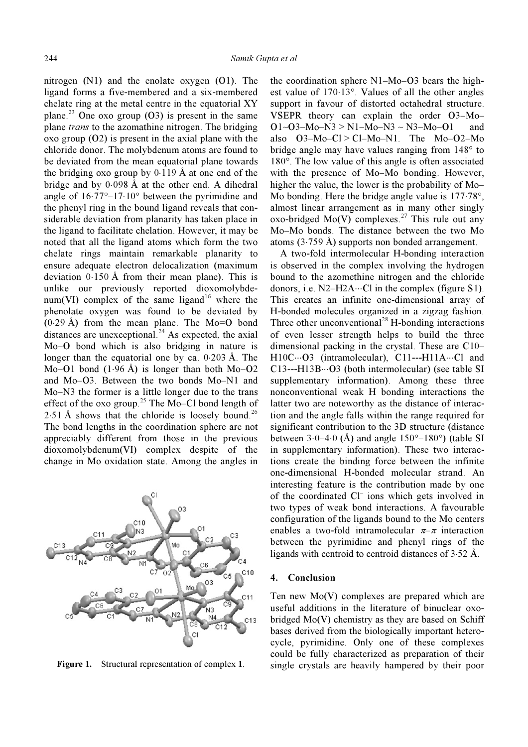nitrogen (N1) and the enolate oxygen (O1). The ligand forms a five-membered and a six-membered chelate ring at the metal centre in the equatorial XY plane.<sup>23</sup> One oxo group  $(03)$  is present in the same plane *trans* to the azomathine nitrogen. The bridging oxo group (O2) is present in the axial plane with the chloride donor. The molybdenum atoms are found to be deviated from the mean equatorial plane towards the bridging oxo group by  $0.119 \text{ Å}$  at one end of the bridge and by 0⋅098 Å at the other end. A dihedral angle of 16⋅77°–17⋅10° between the pyrimidine and the phenyl ring in the bound ligand reveals that considerable deviation from planarity has taken place in the ligand to facilitate chelation. However, it may be noted that all the ligand atoms which form the two chelate rings maintain remarkable planarity to ensure adequate electron delocalization (maximum deviation 0⋅150 Å from their mean plane). This is unlike our previously reported dioxomolybdenum(VI) complex of the same ligand<sup>16</sup> where the phenolate oxygen was found to be deviated by  $(0.29 \text{ Å})$  from the mean plane. The Mo=O bond distances are unexceptional. $^{24}$  As expected, the axial Mo–O bond which is also bridging in nature is longer than the equatorial one by ca.  $0.203 \text{ Å}$ . The Mo–O1 bond  $(1.96 \text{ Å})$  is longer than both Mo–O2 and Mo–O3. Between the two bonds Mo–N1 and Mo–N3 the former is a little longer due to the trans effect of the oxo group.<sup>25</sup> The Mo–Cl bond length of 2⋅51 Å shows that the chloride is loosely bound.<sup>26</sup> The bond lengths in the coordination sphere are not appreciably different from those in the previous dioxomolybdenum(VI) complex despite of the change in Mo oxidation state. Among the angles in



Figure 1. Structural representation of complex 1.

the coordination sphere N1–Mo–O3 bears the highest value of 170⋅13°. Values of all the other angles support in favour of distorted octahedral structure. VSEPR theory can explain the order O3–Mo–  $O1 \sim O3 - Mo - N3 > N1 - Mo - N3 \sim N3 - Mo - O1$  and also  $O3-Mo-Cl > Cl-Mo-N1$ . The  $Mo-O2-Mo$ bridge angle may have values ranging from 148° to 180°. The low value of this angle is often associated with the presence of Mo–Mo bonding. However, higher the value, the lower is the probability of Mo– Mo bonding. Here the bridge angle value is 177⋅78°, almost linear arrangement as in many other singly  $\overline{X}$ oxo-bridged Mo(V) complexes.<sup>27</sup> This rule out any Mo–Mo bonds. The distance between the two Mo atoms (3⋅759 Å) supports non bonded arrangement.

 A two-fold intermolecular H-bonding interaction is observed in the complex involving the hydrogen bound to the azomethine nitrogen and the chloride donors, i.e.  $N2-H2A\cdots$ Cl in the complex (figure S1). This creates an infinite one-dimensional array of H-bonded molecules organized in a zigzag fashion. Three other unconventional<sup>28</sup> H-bonding interactions of even lesser strength helps to build the three dimensional packing in the crystal. These are C10– H10C…O3 (intramolecular), C11---H11A…Cl and C13---H13B⋅⋅⋅O3 (both intermolecular) (see table SI supplementary information). Among these three nonconventional weak H bonding interactions the latter two are noteworthy as the distance of interaction and the angle falls within the range required for significant contribution to the 3D structure (distance between 3⋅0–4⋅0 (Å) and angle  $150^{\circ}$ –180 $^{\circ}$ ) (table SI in supplementary information). These two interactions create the binding force between the infinite one-dimensional H-bonded molecular strand. An interesting feature is the contribution made by one of the coordinated Cl– ions which gets involved in two types of weak bond interactions. A favourable configuration of the ligands bound to the Mo centers enables a two-fold intramolecular  $\pi-\pi$  interaction between the pyrimidine and phenyl rings of the ligands with centroid to centroid distances of 3⋅52 Å.

## 4. Conclusion

Ten new Mo(V) complexes are prepared which are useful additions in the literature of binuclear oxobridged Mo(V) chemistry as they are based on Schiff bases derived from the biologically important heterocycle, pyrimidine. Only one of these complexes could be fully characterized as preparation of their single crystals are heavily hampered by their poor